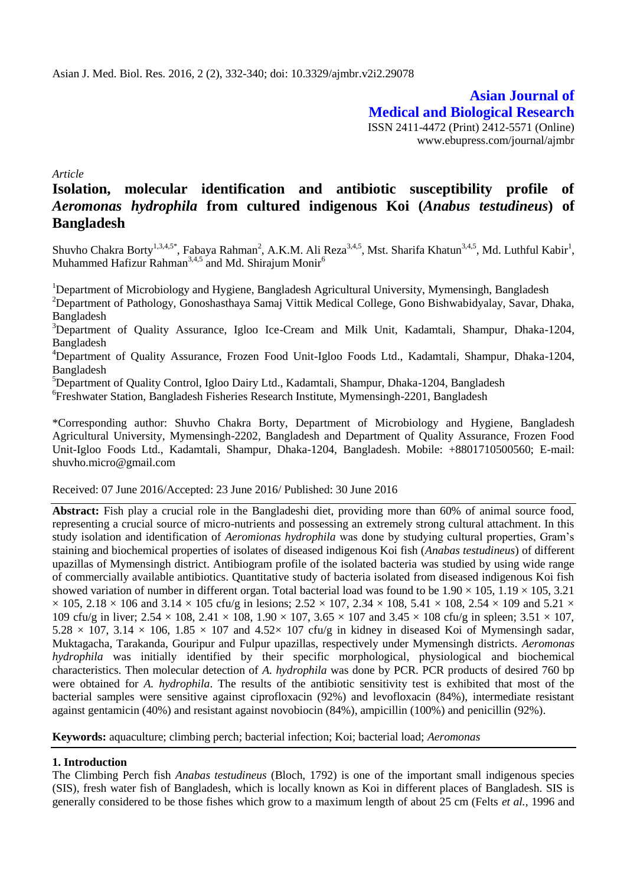**Asian Journal of Medical and Biological Research** ISSN 2411-4472 (Print) 2412-5571 (Online) www.ebupress.com/journal/ajmbr

*Article*

# **Isolation, molecular identification and antibiotic susceptibility profile of**  *Aeromonas hydrophila* **from cultured indigenous Koi (***Anabus testudineus***) of Bangladesh**

Shuvho Chakra Borty<sup>1,3,4,5\*</sup>, Fabaya Rahman<sup>2</sup>, A.K.M. Ali Reza<sup>3,4,5</sup>, Mst. Sharifa Khatun<sup>3,4,5</sup>, Md. Luthful Kabir<sup>1</sup>, Muhammed Hafizur Rahman<sup>3,4,5</sup> and Md. Shirajum Monir<sup>6</sup>

<sup>1</sup>Department of Microbiology and Hygiene, Bangladesh Agricultural University, Mymensingh, Bangladesh <sup>2</sup>Department of Pathology, Gonoshasthaya Samaj Vittik Medical College, Gono Bishwabidyalay, Savar, Dhaka, Bangladesh

<sup>3</sup>Department of Quality Assurance, Igloo Ice-Cream and Milk Unit, Kadamtali, Shampur, Dhaka-1204, Bangladesh

<sup>4</sup>Department of Quality Assurance, Frozen Food Unit-Igloo Foods Ltd., Kadamtali, Shampur, Dhaka-1204, Bangladesh

<sup>5</sup>Department of Quality Control, Igloo Dairy Ltd., Kadamtali, Shampur, Dhaka-1204, Bangladesh

6 Freshwater Station, Bangladesh Fisheries Research Institute, Mymensingh-2201, Bangladesh

\*Corresponding author: Shuvho Chakra Borty, Department of Microbiology and Hygiene, Bangladesh Agricultural University, Mymensingh-2202, Bangladesh and Department of Quality Assurance, Frozen Food Unit-Igloo Foods Ltd., Kadamtali, Shampur, Dhaka-1204, Bangladesh. Mobile: +8801710500560; E-mail: [shuvho.micro@gmail.com](mailto:shuvho.micro@gmail.com)

Received: 07 June 2016/Accepted: 23 June 2016/ Published: 30 June 2016

**Abstract:** Fish play a crucial role in the Bangladeshi diet, providing more than 60% of animal source food, representing a crucial source of micro-nutrients and possessing an extremely strong cultural attachment. In this study isolation and identification of *Aeromionas hydrophila* was done by studying cultural properties, Gram's staining and biochemical properties of isolates of diseased indigenous Koi fish (*Anabas testudineus*) of different upazillas of Mymensingh district. Antibiogram profile of the isolated bacteria was studied by using wide range of commercially available antibiotics. Quantitative study of bacteria isolated from diseased indigenous Koi fish showed variation of number in different organ. Total bacterial load was found to be  $1.90 \times 105$ ,  $1.19 \times 105$ ,  $3.21$  $\times$  105, 2.18  $\times$  106 and 3.14  $\times$  105 cfu/g in lesions; 2.52  $\times$  107, 2.34  $\times$  108, 5.41  $\times$  108, 2.54  $\times$  109 and 5.21  $\times$ 109 cfu/g in liver;  $2.54 \times 108$ ,  $2.41 \times 108$ ,  $1.90 \times 107$ ,  $3.65 \times 107$  and  $3.45 \times 108$  cfu/g in spleen;  $3.51 \times 107$ ,  $5.28 \times 107$ ,  $3.14 \times 106$ ,  $1.85 \times 107$  and  $4.52 \times 107$  cfu/g in kidney in diseased Koi of Mymensingh sadar, Muktagacha, Tarakanda, Gouripur and Fulpur upazillas, respectively under Mymensingh districts. *Aeromonas hydrophila* was initially identified by their specific morphological, physiological and biochemical characteristics. Then molecular detection of *A. hydrophila* was done by PCR. PCR products of desired 760 bp were obtained for *A. hydrophila*. The results of the antibiotic sensitivity test is exhibited that most of the bacterial samples were sensitive against ciprofloxacin (92%) and levofloxacin (84%), intermediate resistant against gentamicin (40%) and resistant against novobiocin (84%), ampicillin (100%) and penicillin (92%).

**Keywords:** aquaculture; climbing perch; bacterial infection; Koi; bacterial load; *Aeromonas*

### **1. Introduction**

The Climbing Perch fish *Anabas testudineus* (Bloch, 1792) is one of the important small indigenous species (SIS), fresh water fish of Bangladesh, which is locally known as Koi in different places of Bangladesh. SIS is generally considered to be those fishes which grow to a maximum length of about 25 cm (Felts *et al.,* 1996 and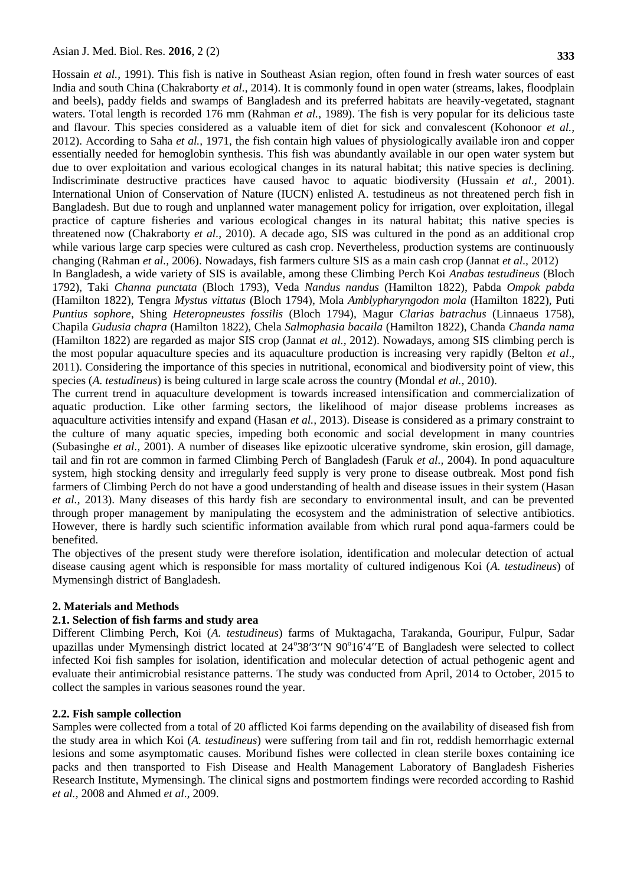Hossain *et al.,* 1991). This fish is native in Southeast Asian region, often found in fresh water sources of east India and south China (Chakraborty *et al.,* 2014). It is commonly found in open water (streams, lakes, floodplain and beels), paddy fields and swamps of Bangladesh and its preferred habitats are heavily-vegetated, stagnant waters. Total length is recorded 176 mm (Rahman *et al.,* 1989). The fish is very popular for its delicious taste and flavour. This species considered as a valuable item of diet for sick and convalescent (Kohonoor *et al.,* 2012). According to Saha *et al.,* 1971, the fish contain high values of physiologically available iron and copper essentially needed for hemoglobin synthesis. This fish was abundantly available in our open water system but due to over exploitation and various ecological changes in its natural habitat; this native species is declining. Indiscriminate destructive practices have caused havoc to aquatic biodiversity (Hussain *et al.,* 2001). International Union of Conservation of Nature (IUCN) enlisted A. testudineus as not threatened perch fish in Bangladesh. But due to rough and unplanned water management policy for irrigation, over exploitation, illegal practice of capture fisheries and various ecological changes in its natural habitat; this native species is threatened now (Chakraborty *et al.,* 2010). A decade ago, SIS was cultured in the pond as an additional crop while various large carp species were cultured as cash crop. Nevertheless, production systems are continuously changing (Rahman *et al.,* 2006). Nowadays, fish farmers culture SIS as a main cash crop (Jannat *et al.,* 2012) In Bangladesh, a wide variety of SIS is available, among these Climbing Perch Koi *Anabas testudineus* (Bloch 1792), Taki *Channa punctata* (Bloch 1793), Veda *Nandus nandus* (Hamilton 1822), Pabda *Ompok pabda* (Hamilton 1822), Tengra *Mystus vittatus* (Bloch 1794), Mola *Amblypharyngodon mola* (Hamilton 1822), Puti *Puntius sophore*, Shing *Heteropneustes fossilis* (Bloch 1794), Magur *Clarias batrachus* (Linnaeus 1758), Chapila *Gudusia chapra* (Hamilton 1822), Chela *Salmophasia bacaila* (Hamilton 1822), Chanda *Chanda nama*

(Hamilton 1822) are regarded as major SIS crop (Jannat *et al.,* 2012). Nowadays, among SIS climbing perch is the most popular aquaculture species and its aquaculture production is increasing very rapidly (Belton *et al*., 2011). Considering the importance of this species in nutritional, economical and biodiversity point of view, this species (*A. testudineus*) is being cultured in large scale across the country (Mondal *et al.,* 2010).

The current trend in aquaculture development is towards increased intensification and commercialization of aquatic production. Like other farming sectors, the likelihood of major disease problems increases as aquaculture activities intensify and expand (Hasan *et al.,* 2013). Disease is considered as a primary constraint to the culture of many aquatic species, impeding both economic and social development in many countries (Subasinghe *et al.,* 2001). A number of diseases like epizootic ulcerative syndrome, skin erosion, gill damage, tail and fin rot are common in farmed Climbing Perch of Bangladesh (Faruk *et al.,* 2004). In pond aquaculture system, high stocking density and irregularly feed supply is very prone to disease outbreak. Most pond fish farmers of Climbing Perch do not have a good understanding of health and disease issues in their system (Hasan *et al.,* 2013). Many diseases of this hardy fish are secondary to environmental insult, and can be prevented through proper management by manipulating the ecosystem and the administration of selective antibiotics. However, there is hardly such scientific information available from which rural pond aqua-farmers could be benefited.

The objectives of the present study were therefore isolation, identification and molecular detection of actual disease causing agent which is responsible for mass mortality of cultured indigenous Koi (*A. testudineus*) of Mymensingh district of Bangladesh.

### **2. Materials and Methods**

### **2.1. Selection of fish farms and study area**

Different Climbing Perch, Koi (*A. testudineus*) farms of Muktagacha, Tarakanda, Gouripur, Fulpur, Sadar upazillas under Mymensingh district located at 24°38'3"N 90°16'4"E of Bangladesh were selected to collect infected Koi fish samples for isolation, identification and molecular detection of actual pethogenic agent and evaluate their antimicrobial resistance patterns. The study was conducted from April, 2014 to October, 2015 to collect the samples in various seasones round the year.

### **2.2. Fish sample collection**

Samples were collected from a total of 20 afflicted Koi farms depending on the availability of diseased fish from the study area in which Koi (*A. testudineus*) were suffering from tail and fin rot, reddish hemorrhagic external lesions and some asymptomatic causes. Moribund fishes were collected in clean sterile boxes containing ice packs and then transported to Fish Disease and Health Management Laboratory of Bangladesh Fisheries Research Institute, Mymensingh. The clinical signs and postmortem findings were recorded according to Rashid *et al.,* 2008 and Ahmed *et al*., 2009.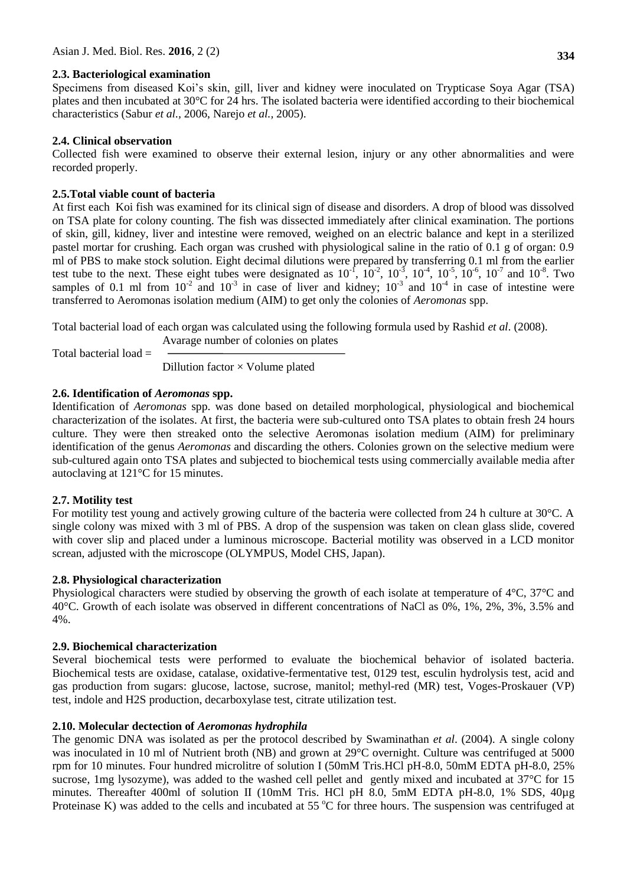### **2.3. Bacteriological examination**

Specimens from diseased Koi's skin, gill, liver and kidney were inoculated on Trypticase Soya Agar (TSA) plates and then incubated at 30°C for 24 hrs. The isolated bacteria were identified according to their biochemical characteristics (Sabur *et al.,* 2006, Narejo *et al.,* 2005).

### **2.4. Clinical observation**

Collected fish were examined to observe their external lesion, injury or any other abnormalities and were recorded properly.

### **2.5.Total viable count of bacteria**

At first each Koi fish was examined for its clinical sign of disease and disorders. A drop of blood was dissolved on TSA plate for colony counting. The fish was dissected immediately after clinical examination. The portions of skin, gill, kidney, liver and intestine were removed, weighed on an electric balance and kept in a sterilized pastel mortar for crushing. Each organ was crushed with physiological saline in the ratio of 0.1 g of organ: 0.9 ml of PBS to make stock solution. Eight decimal dilutions were prepared by transferring 0.1 ml from the earlier test tube to the next. These eight tubes were designated as  $10^{-1}$ ,  $10^{-2}$ ,  $10^{-3}$ ,  $10^{-4}$ ,  $10^{-5}$ ,  $10^{-6}$ ,  $10^{-7}$  and  $10^{-8}$ . Two samples of 0.1 ml from  $10^{-2}$  and  $10^{-3}$  in case of liver and kidney;  $10^{-3}$  and  $10^{-4}$  in case of intestine were transferred to Aeromonas isolation medium (AIM) to get only the colonies of *Aeromonas* spp.

Total bacterial load of each organ was calculated using the following formula used by Rashid *et al*. (2008).

Total bacterial load =

Avarage number of colonies on plates

Dillution factor  $\times$  Volume plated

## **2.6. Identification of** *Aeromonas* **spp.**

Identification of *Aeromonas* spp. was done based on detailed morphological, physiological and biochemical characterization of the isolates. At first, the bacteria were sub-cultured onto TSA plates to obtain fresh 24 hours culture. They were then streaked onto the selective Aeromonas isolation medium (AIM) for preliminary identification of the genus *Aeromonas* and discarding the others. Colonies grown on the selective medium were sub-cultured again onto TSA plates and subjected to biochemical tests using commercially available media after autoclaving at 121°C for 15 minutes.

## **2.7. Motility test**

For motility test young and actively growing culture of the bacteria were collected from 24 h culture at 30°C. A single colony was mixed with 3 ml of PBS. A drop of the suspension was taken on clean glass slide, covered with cover slip and placed under a luminous microscope. Bacterial motility was observed in a LCD monitor screan, adjusted with the microscope (OLYMPUS, Model CHS, Japan).

## **2.8. Physiological characterization**

Physiological characters were studied by observing the growth of each isolate at temperature of 4°C, 37°C and 40°C. Growth of each isolate was observed in different concentrations of NaCl as 0%, 1%, 2%, 3%, 3.5% and 4%.

## **2.9. Biochemical characterization**

Several biochemical tests were performed to evaluate the biochemical behavior of isolated bacteria. Biochemical tests are oxidase, catalase, oxidative-fermentative test, 0129 test, esculin hydrolysis test, acid and gas production from sugars: glucose, lactose, sucrose, manitol; methyl-red (MR) test, Voges-Proskauer (VP) test, indole and H2S production, decarboxylase test, citrate utilization test.

## **2.10. Molecular dectection of** *Aeromonas hydrophila*

The genomic DNA was isolated as per the protocol described by Swaminathan *et al*. (2004). A single colony was inoculated in 10 ml of Nutrient broth (NB) and grown at 29°C overnight. Culture was centrifuged at 5000 rpm for 10 minutes. Four hundred microlitre of solution I (50mM Tris.HCl pH-8.0, 50mM EDTA pH-8.0, 25% sucrose, 1mg lysozyme), was added to the washed cell pellet and gently mixed and incubated at 37°C for 15 minutes. Thereafter 400ml of solution II (10mM Tris. HCl pH 8.0, 5mM EDTA pH-8.0, 1% SDS, 40µg Proteinase K) was added to the cells and incubated at 55  $\degree$ C for three hours. The suspension was centrifuged at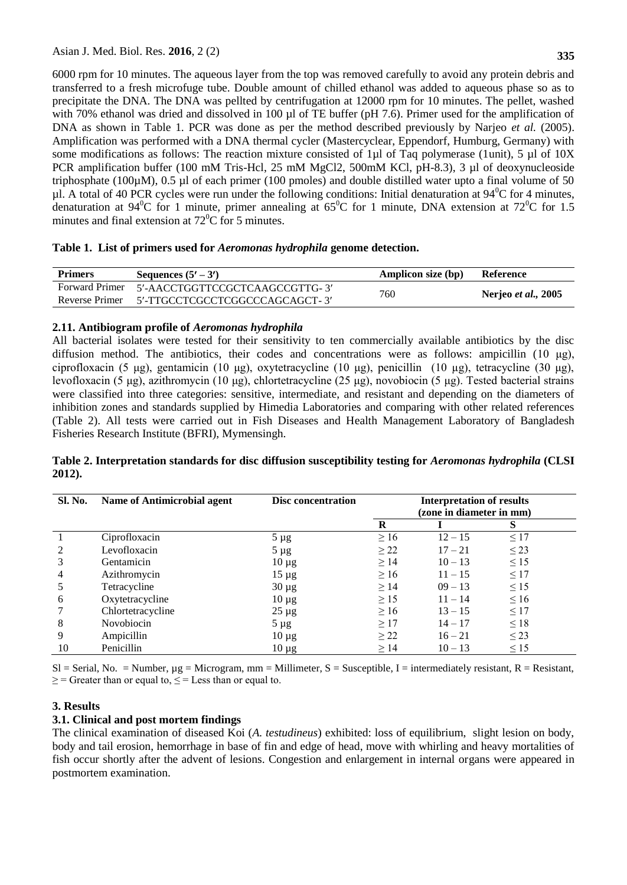6000 rpm for 10 minutes. The aqueous layer from the top was removed carefully to avoid any protein debris and transferred to a fresh microfuge tube. Double amount of chilled ethanol was added to aqueous phase so as to precipitate the DNA. The DNA was pellted by centrifugation at 12000 rpm for 10 minutes. The pellet, washed with 70% ethanol was dried and dissolved in 100 µl of TE buffer (pH 7.6). Primer used for the amplification of DNA as shown in Table 1. PCR was done as per the method described previously by Narjeo *et al.* (2005). Amplification was performed with a DNA thermal cycler (Mastercyclear, Eppendorf, Humburg, Germany) with some modifications as follows: The reaction mixture consisted of 1µl of Taq polymerase (1unit), 5 µl of 10X PCR amplification buffer (100 mM Tris-Hcl, 25 mM MgCl2, 500mM KCl, pH-8.3), 3 µl of deoxynucleoside triphosphate (100µM), 0.5 µl of each primer (100 pmoles) and double distilled water upto a final volume of 50  $\mu$ l. A total of 40 PCR cycles were run under the following conditions: Initial denaturation at 94<sup>0</sup>C for 4 minutes, denaturation at 94<sup>0</sup>C for 1 minute, primer annealing at 65<sup>0</sup>C for 1 minute, DNA extension at 72<sup>0</sup>C for 1.5 minutes and final extension at  $72^0C$  for 5 minutes.

#### **Table 1. List of primers used for** *Aeromonas hydrophila* **genome detection.**

| <b>Primers</b> | Sequences $(5' – 3')$                         | <b>Amplicon size (bp)</b> | Reference                          |
|----------------|-----------------------------------------------|---------------------------|------------------------------------|
|                | Forward Primer 5'-AACCTGGTTCCGCTCAAGCCGTTG-3' | 760                       |                                    |
| Reverse Primer | 5'-TTGCCTCGCCTCGGCCCAGCAGCT- 3'               |                           | <b>Nerjeo</b> <i>et al.</i> , 2005 |

#### **2.11. Antibiogram profile of** *Aeromonas hydrophila*

All bacterial isolates were tested for their sensitivity to ten commercially available antibiotics by the disc diffusion method. The antibiotics, their codes and concentrations were as follows: ampicillin (10 μg), ciprofloxacin (5 μg), gentamicin (10 μg), oxytetracycline (10 μg), penicillin (10 µg), tetracycline (30 μg), levofloxacin (5 μg), azithromycin (10 μg), chlortetracycline (25 μg), novobiocin (5 μg). Tested bacterial strains were classified into three categories: sensitive, intermediate, and resistant and depending on the diameters of inhibition zones and standards supplied by Himedia Laboratories and comparing with other related references (Table 2). All tests were carried out in Fish Diseases and Health Management Laboratory of Bangladesh Fisheries Research Institute (BFRI), Mymensingh.

### **Table 2. Interpretation standards for disc diffusion susceptibility testing for** *Aeromonas hydrophila* **(CLSI 2012).**

| <b>Sl. No.</b> | <b>Name of Antimicrobial agent</b> | Disc concentration | <b>Interpretation of results</b><br>(zone in diameter in mm) |           |           |
|----------------|------------------------------------|--------------------|--------------------------------------------------------------|-----------|-----------|
|                |                                    |                    | R                                                            |           | S         |
|                | Ciprofloxacin                      | $5 \mu g$          | $\geq 16$                                                    | $12 - 15$ | $\leq$ 17 |
| $\mathfrak{D}$ | Levofloxacin                       | $5 \mu g$          | $\geq$ 22                                                    | $17 - 21$ | $\leq$ 23 |
|                | Gentamicin                         | $10 \mu g$         | $\geq$ 14                                                    | $10 - 13$ | $\leq$ 15 |
| 4              | Azithromycin                       | $15 \mu g$         | $\geq 16$                                                    | $11 - 15$ | $\leq$ 17 |
|                | Tetracycline                       | $30 \mu g$         | $\geq$ 14                                                    | $09 - 13$ | $\leq$ 15 |
| 6              | Oxytetracycline                    | $10 \mu g$         | $\geq$ 15                                                    | $11 - 14$ | $\leq 16$ |
|                | Chlortetracycline                  | $25 \mu g$         | $\geq 16$                                                    | $13 - 15$ | $\leq$ 17 |
| 8              | Novobiocin                         | $5 \mu g$          | $\geq$ 17                                                    | $14 - 17$ | $\leq$ 18 |
| 9              | Ampicillin                         | $10 \mu g$         | $\geq$ 22                                                    | $16 - 21$ | $\leq$ 23 |
| 10             | Penicillin                         | $10 \mu g$         | $\geq$ 14                                                    | $10 - 13$ | $\leq$ 15 |

 $SI =$  Serial, No. = Number,  $\mu$ g = Microgram, mm = Millimeter, S = Susceptible, I = intermediately resistant, R = Resistant,  $\geq$  = Greater than or equal to,  $\leq$  = Less than or equal to.

### **3. Results**

### **3.1. Clinical and post mortem findings**

The clinical examination of diseased Koi (*A. testudineus*) exhibited: loss of equilibrium, slight lesion on body, body and tail erosion, hemorrhage in base of fin and edge of head, move with whirling and heavy mortalities of fish occur shortly after the advent of lesions. Congestion and enlargement in internal organs were appeared in postmortem examination.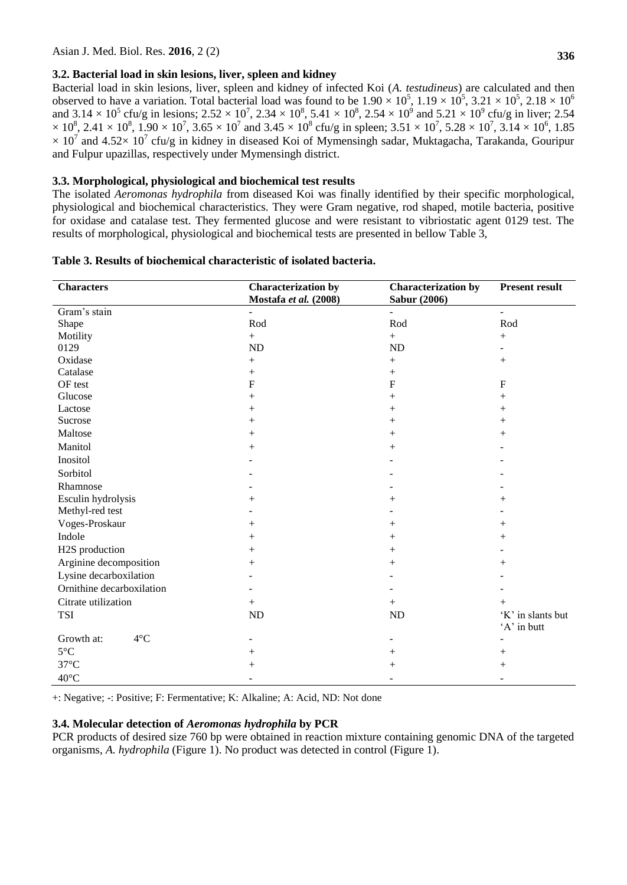### **3.2. Bacterial load in skin lesions, liver, spleen and kidney**

Bacterial load in skin lesions, liver, spleen and kidney of infected Koi (*A. testudineus*) are calculated and then observed to have a variation. Total bacterial load was found to be  $1.90 \times 10^5$ ,  $1.19 \times 10^5$ ,  $3.21 \times 10^5$ ,  $2.18 \times 10^6$ and  $3.14 \times 10^5$  cfu/g in lesions;  $2.52 \times 10^7$ ,  $2.34 \times 10^8$ ,  $5.41 \times 10^8$ ,  $2.54 \times 10^9$  and  $5.21 \times 10^9$  cfu/g in liver;  $2.54$  $\times$  10<sup>8</sup>, 2.41  $\times$  10<sup>8</sup>, 1.90  $\times$  10<sup>7</sup>, 3.65  $\times$  10<sup>7</sup> and 3.45  $\times$  10<sup>8</sup> cfu/g in spleen; 3.51  $\times$  10<sup>7</sup>, 5.28  $\times$  10<sup>7</sup>, 3.14  $\times$  10<sup>6</sup>, 1.85  $\times$  10<sup>7</sup> and 4.52 $\times$  10<sup>7</sup> cfu/g in kidney in diseased Koi of Mymensingh sadar, Muktagacha, Tarakanda, Gouripur and Fulpur upazillas, respectively under Mymensingh district.

### **3.3. Morphological, physiological and biochemical test results**

The isolated *Aeromonas hydrophila* from diseased Koi was finally identified by their specific morphological, physiological and biochemical characteristics. They were Gram negative, rod shaped, motile bacteria, positive for oxidase and catalase test. They fermented glucose and were resistant to vibriostatic agent 0129 test. The results of morphological, physiological and biochemical tests are presented in bellow Table 3,

| <b>Characters</b>           | <b>Characterization by</b><br>Mostafa et al. (2008) | <b>Characterization by</b><br><b>Sabur (2006)</b> | <b>Present result</b>            |  |
|-----------------------------|-----------------------------------------------------|---------------------------------------------------|----------------------------------|--|
| Gram's stain                |                                                     |                                                   | $\blacksquare$                   |  |
| Shape                       | Rod                                                 | Rod                                               | Rod                              |  |
| Motility                    | $^{+}$                                              | $+$                                               |                                  |  |
| 0129                        | ND                                                  | ND                                                |                                  |  |
| Oxidase                     | $^{+}$                                              | $^{+}$                                            | $+$                              |  |
| Catalase                    | $^{+}$                                              | $+$                                               |                                  |  |
| OF test                     | $\mathbf F$                                         | $\boldsymbol{\mathrm{F}}$                         | $\mathbf{F}$                     |  |
| Glucose                     | $^{+}$                                              | $^{+}$                                            | $^{+}$                           |  |
| Lactose                     | $^{+}$                                              | $^{+}$                                            | $^{+}$                           |  |
| Sucrose                     | $^{+}$                                              | $^{+}$                                            | $^{+}$                           |  |
| Maltose                     | $^{+}$                                              | $^{+}$                                            | $^{+}$                           |  |
| Manitol                     | $^{+}$                                              | $^{+}$                                            |                                  |  |
| Inositol                    |                                                     |                                                   |                                  |  |
| Sorbitol                    |                                                     |                                                   |                                  |  |
| Rhamnose                    |                                                     |                                                   |                                  |  |
| Esculin hydrolysis          | $+$                                                 | $^{+}$                                            | $^{+}$                           |  |
| Methyl-red test             |                                                     |                                                   |                                  |  |
| Voges-Proskaur              | $^{+}$                                              | $^{+}$                                            | $^{+}$                           |  |
| Indole                      | $^{+}$                                              | $^{+}$                                            | $^{+}$                           |  |
| H2S production              | $^{+}$                                              | $^{+}$                                            |                                  |  |
| Arginine decomposition      | $^{+}$                                              | $^{+}$                                            | $^{+}$                           |  |
| Lysine decarboxilation      |                                                     |                                                   |                                  |  |
| Ornithine decarboxilation   |                                                     |                                                   |                                  |  |
| Citrate utilization         | $^{+}$                                              | $+$                                               | $^{+}$                           |  |
| <b>TSI</b>                  | ND                                                  | ND                                                | 'K' in slants but<br>'A' in butt |  |
| Growth at:<br>$4^{\circ}$ C |                                                     |                                                   |                                  |  |
| $5^{\circ}$ C               | $^{+}$                                              | $^{+}$                                            | $\hspace{0.1mm} +$               |  |
| $37^{\circ}$ C              | $\hspace{0.1mm} +$                                  | $^+$                                              | $\hspace{0.1mm} +$               |  |
| $40^{\circ}$ C              |                                                     |                                                   |                                  |  |

## **Table 3. Results of biochemical characteristic of isolated bacteria.**

+: Negative; -: Positive; F: Fermentative; K: Alkaline; A: Acid, ND: Not done

### **3.4. Molecular detection of** *Aeromonas hydrophila* **by PCR**

PCR products of desired size 760 bp were obtained in reaction mixture containing genomic DNA of the targeted organisms, *A. hydrophila* (Figure 1). No product was detected in control (Figure 1).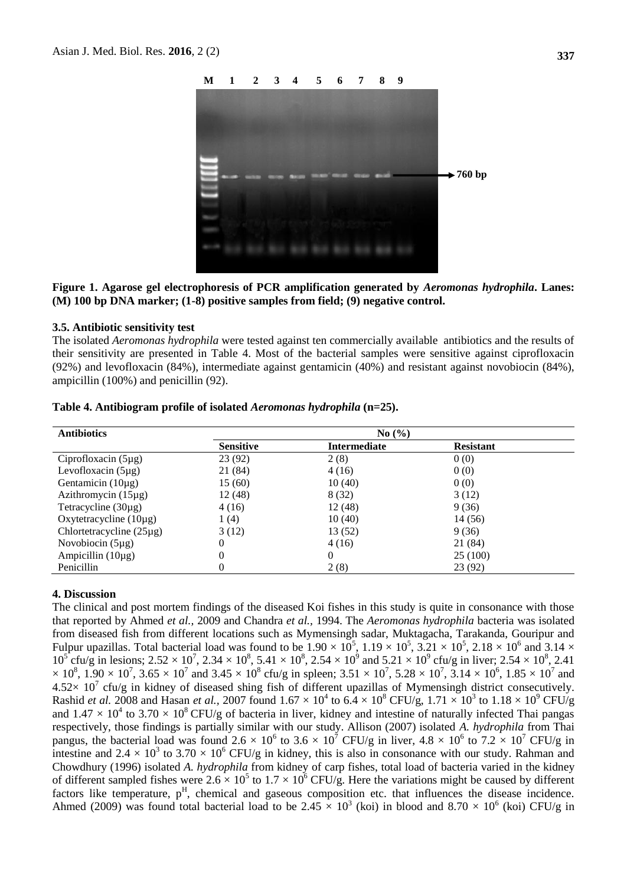

**Figure 1. Agarose gel electrophoresis of PCR amplification generated by** *Aeromonas hydrophila***. Lanes: (M) 100 bp DNA marker; (1-8) positive samples from field; (9) negative control.**

#### **3.5. Antibiotic sensitivity test**

The isolated *Aeromonas hydrophila* were tested against ten commercially available antibiotics and the results of their sensitivity are presented in Table 4. Most of the bacterial samples were sensitive against ciprofloxacin (92%) and levofloxacin (84%), intermediate against gentamicin (40%) and resistant against novobiocin (84%), ampicillin (100%) and penicillin (92).

| <b>Antibiotics</b>            | No(%)            |                     |                  |  |
|-------------------------------|------------------|---------------------|------------------|--|
|                               | <b>Sensitive</b> | <b>Intermediate</b> | <b>Resistant</b> |  |
| Ciprofloxacin $(5\mu g)$      | 23 (92)          | 2(8)                | 0(0)             |  |
| Levofloxacin $(5\mu g)$       | 21 (84)          | 4(16)               | 0(0)             |  |
| Gentamicin $(10\mu g)$        | 15(60)           | 10(40)              | 0(0)             |  |
| Azithromycin $(15\mu g)$      | 12(48)           | 8(32)               | 3(12)            |  |
| Tetracycline $(30\mu g)$      | 4(16)            | 12(48)              | 9(36)            |  |
| Oxytetracycline $(10\mu g)$   | 1(4)             | 10(40)              | 14 (56)          |  |
| Chlortetracycline $(25\mu g)$ | 3(12)            | 13 (52)             | 9(36)            |  |
| Novobiocin $(5\mu g)$         | 0                | 4(16)               | 21 (84)          |  |
| Ampicillin $(10\mu g)$        | 0                | $\theta$            | 25(100)          |  |
| Penicillin                    | 0                | 2(8)                | 23 (92)          |  |

**Table 4. Antibiogram profile of isolated** *Aeromonas hydrophila* **(n=25).**

#### **4. Discussion**

The clinical and post mortem findings of the diseased Koi fishes in this study is quite in consonance with those that reported by Ahmed *et al.,* 2009 and Chandra *et al.,* 1994. The *Aeromonas hydrophila* bacteria was isolated from diseased fish from different locations such as Mymensingh sadar, Muktagacha, Tarakanda, Gouripur and Fulpur upazillas. Total bacterial load was found to be  $1.90 \times 10^5$ ,  $1.19 \times 10^5$ ,  $3.21 \times 10^5$ ,  $2.18 \times 10^6$  and  $3.14 \times$  $10^5$  cfu/g in lesions;  $2.52 \times 10^7$ ,  $2.34 \times 10^8$ ,  $5.41 \times 10^8$ ,  $2.54 \times 10^9$  and  $5.21 \times 10^9$  cfu/g in liver;  $2.54 \times 10^8$ ,  $2.41$  $\times$  10<sup>8</sup>, 1.90  $\times$  10<sup>7</sup>, 3.65  $\times$  10<sup>7</sup> and 3.45  $\times$  10<sup>8</sup> cfu/g in spleen; 3.51  $\times$  10<sup>7</sup>, 5.28  $\times$  10<sup>7</sup>, 3.14  $\times$  10<sup>6</sup>, 1.85  $\times$  10<sup>7</sup> and  $4.52 \times 10^7$  cfu/g in kidney of diseased shing fish of different upazillas of Mymensingh district consecutively. Rashid *et al.* 2008 and Hasan *et al.*, 2007 found  $1.67 \times 10^4$  to  $6.\overline{4} \times 10^8$  CFU/g,  $1.71 \times 10^3$  to  $1.18 \times 10^9$  CFU/g and  $1.47 \times 10^4$  to  $3.70 \times 10^8$  CFU/g of bacteria in liver, kidney and intestine of naturally infected Thai pangas respectively, those findings is partially similar with our study. Allison (2007) isolated *A. hydrophila* from Thai pangus, the bacterial load was found 2.6  $\times$  10<sup>6</sup> to 3.6  $\times$  10<sup>7</sup> CFU/g in liver, 4.8  $\times$  10<sup>6</sup> to 7.2  $\times$  10<sup>7</sup> CFU/g in intestine and 2.4  $\times$  10<sup>3</sup> to 3.70  $\times$  10<sup>6</sup> CFU/g in kidney, this is also in consonance with our study. Rahman and Chowdhury (1996) isolated *A. hydrophila* from kidney of carp fishes, total load of bacteria varied in the kidney of different sampled fishes were  $2.6 \times 10^5$  to  $1.7 \times 10^6$  CFU/g. Here the variations might be caused by different factors like temperature,  $p<sup>H</sup>$ , chemical and gaseous composition etc. that influences the disease incidence. Ahmed (2009) was found total bacterial load to be 2.45  $\times$  10<sup>3</sup> (koi) in blood and 8.70  $\times$  10<sup>6</sup> (koi) CFU/g in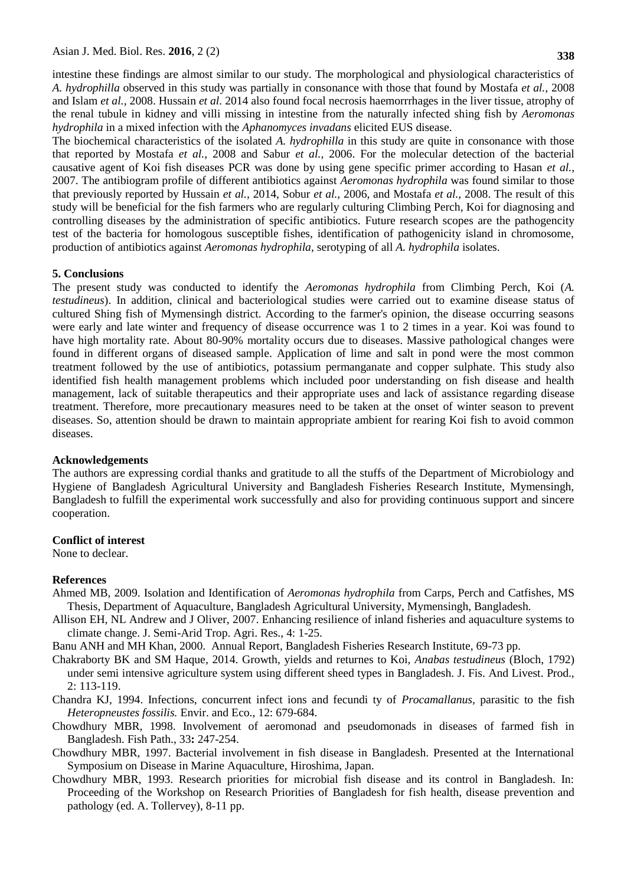intestine these findings are almost similar to our study. The morphological and physiological characteristics of *A. hydrophilla* observed in this study was partially in consonance with those that found by Mostafa *et al.,* 2008 and Islam *et al.,* 2008. Hussain *et al.* 2014 also found focal necrosis haemorrrhages in the liver tissue, atrophy of the renal tubule in kidney and villi missing in intestine from the naturally infected shing fish by *Aeromonas hydrophila* in a mixed infection with the *Aphanomyces invadans* elicited EUS disease.

The biochemical characteristics of the isolated *A. hydrophilla* in this study are quite in consonance with those that reported by Mostafa *et al.,* 2008 and Sabur *et al.,* 2006. For the molecular detection of the bacterial causative agent of Koi fish diseases PCR was done by using gene specific primer according to Hasan *et al.,* 2007. The antibiogram profile of different antibiotics against *Aeromonas hydrophila* was found similar to those that previously reported by Hussain *et al.,* 2014, Sobur *et al.,* 2006, and Mostafa *et al.,* 2008. The result of this study will be beneficial for the fish farmers who are regularly culturing Climbing Perch, Koi for diagnosing and controlling diseases by the administration of specific antibiotics. Future research scopes are the pathogencity test of the bacteria for homologous susceptible fishes, identification of pathogenicity island in chromosome, production of antibiotics against *Aeromonas hydrophila*, serotyping of all *A. hydrophila* isolates.

#### **5. Conclusions**

The present study was conducted to identify the *Aeromonas hydrophila* from Climbing Perch, Koi (*A. testudineus*). In addition, clinical and bacteriological studies were carried out to examine disease status of cultured Shing fish of Mymensingh district. According to the farmer's opinion, the disease occurring seasons were early and late winter and frequency of disease occurrence was 1 to 2 times in a year. Koi was found to have high mortality rate. About 80-90% mortality occurs due to diseases. Massive pathological changes were found in different organs of diseased sample. Application of lime and salt in pond were the most common treatment followed by the use of antibiotics, potassium permanganate and copper sulphate. This study also identified fish health management problems which included poor understanding on fish disease and health management, lack of suitable therapeutics and their appropriate uses and lack of assistance regarding disease treatment. Therefore, more precautionary measures need to be taken at the onset of winter season to prevent diseases. So, attention should be drawn to maintain appropriate ambient for rearing Koi fish to avoid common diseases.

#### **Acknowledgements**

The authors are expressing cordial thanks and gratitude to all the stuffs of the Department of Microbiology and Hygiene of Bangladesh Agricultural University and Bangladesh Fisheries Research Institute, Mymensingh, Bangladesh to fulfill the experimental work successfully and also for providing continuous support and sincere cooperation.

#### **Conflict of interest**

None to declear.

#### **References**

- Ahmed MB, 2009. Isolation and Identification of *Aeromonas hydrophila* from Carps, Perch and Catfishes, MS Thesis, Department of Aquaculture, Bangladesh Agricultural University, Mymensingh, Bangladesh.
- Allison EH, NL Andrew and J Oliver, 2007. Enhancing resilience of inland fisheries and aquaculture systems to climate change. J. Semi-Arid Trop. Agri. Res., 4: 1-25.
- Banu ANH and MH Khan, 2000. Annual Report, Bangladesh Fisheries Research Institute, 69-73 pp.
- Chakraborty BK and SM Haque, 2014. Growth, yields and returnes to Koi, *Anabas testudineus* (Bloch, 1792) under semi intensive agriculture system using different sheed types in Bangladesh. J. Fis. And Livest. Prod., 2: 113-119.
- Chandra KJ, 1994. Infections, concurrent infect ions and fecundi ty of *Procamallanus*, parasitic to the fish *Heteropneustes fossilis.* Envir. and Eco., 12: 679-684.
- Chowdhury MBR, 1998. Involvement of aeromonad and pseudomonads in diseases of farmed fish in Bangladesh. Fish Path., 33**:** 247-254.
- Chowdhury MBR, 1997. Bacterial involvement in fish disease in Bangladesh. Presented at the International Symposium on Disease in Marine Aquaculture, Hiroshima, Japan.
- Chowdhury MBR, 1993. Research priorities for microbial fish disease and its control in Bangladesh. In: Proceeding of the Workshop on Research Priorities of Bangladesh for fish health, disease prevention and pathology (ed. A. Tollervey), 8-11 pp.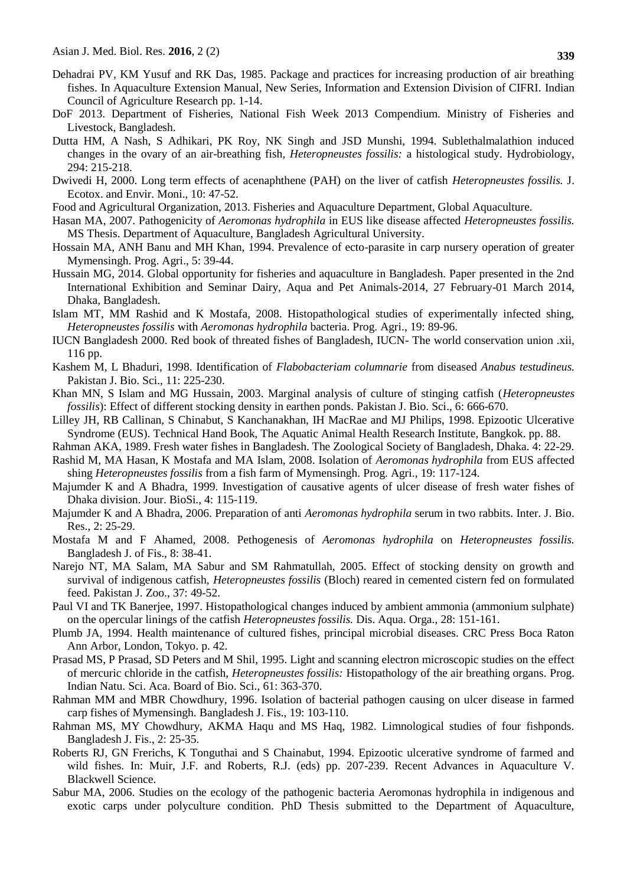- Dehadrai PV, KM Yusuf and RK Das, 1985. Package and practices for increasing production of air breathing fishes. In Aquaculture Extension Manual, New Series, Information and Extension Division of CIFRI. Indian Council of Agriculture Research pp. 1-14.
- DoF 2013. Department of Fisheries, National Fish Week 2013 Compendium. Ministry of Fisheries and Livestock, Bangladesh.
- Dutta HM, A Nash, S Adhikari, PK Roy, NK Singh and JSD Munshi, 1994. Sublethalmalathion induced changes in the ovary of an air-breathing fish, *Heteropneustes fossilis:* a histological study. Hydrobiology, 294: 215-218.
- Dwivedi H, 2000. Long term effects of acenaphthene (PAH) on the liver of catfish *Heteropneustes fossilis.* J. Ecotox. and Envir. Moni., 10: 47-52.
- Food and Agricultural Organization, 2013. Fisheries and Aquaculture Department, Global Aquaculture.
- Hasan MA, 2007. Pathogenicity of *Aeromonas hydrophila* in EUS like disease affected *Heteropneustes fossilis.*  MS Thesis. Department of Aquaculture, Bangladesh Agricultural University.
- Hossain MA, ANH Banu and MH Khan, 1994. Prevalence of ecto-parasite in carp nursery operation of greater Mymensingh. Prog. Agri., 5: 39-44.
- Hussain MG, 2014. Global opportunity for fisheries and aquaculture in Bangladesh. Paper presented in the 2nd International Exhibition and Seminar Dairy, Aqua and Pet Animals-2014, 27 February-01 March 2014, Dhaka, Bangladesh.
- Islam MT, MM Rashid and K Mostafa, 2008. Histopathological studies of experimentally infected shing, *Heteropneustes fossilis* with *Aeromonas hydrophila* bacteria. Prog. Agri., 19: 89-96.
- IUCN Bangladesh 2000. Red book of threated fishes of Bangladesh, IUCN- The world conservation union .xii, 116 pp.
- Kashem M, L Bhaduri, 1998. Identification of *Flabobacteriam columnarie* from diseased *Anabus testudineus.* Pakistan J. Bio. Sci., 11: 225-230.
- Khan MN, S Islam and MG Hussain, 2003. Marginal analysis of culture of stinging catfish (*Heteropneustes fossilis*): Effect of different stocking density in earthen ponds. Pakistan J. Bio. Sci., 6: 666-670.
- Lilley JH, RB Callinan, S Chinabut, S Kanchanakhan, IH MacRae and MJ Philips, 1998. Epizootic Ulcerative Syndrome (EUS). Technical Hand Book, The Aquatic Animal Health Research Institute, Bangkok. pp. 88.
- Rahman AKA, 1989. Fresh water fishes in Bangladesh. The Zoological Society of Bangladesh, Dhaka. 4: 22-29.
- Rashid M, MA Hasan, K Mostafa and MA Islam, 2008. Isolation of *Aeromonas hydrophila* from EUS affected shing *Heteropneustes fossilis* from a fish farm of Mymensingh. Prog. Agri., 19: 117-124.
- Majumder K and A Bhadra, 1999. Investigation of causative agents of ulcer disease of fresh water fishes of Dhaka division. Jour. BioSi., 4: 115-119.
- Majumder K and A Bhadra, 2006. Preparation of anti *Aeromonas hydrophila* serum in two rabbits. Inter. J. Bio. Res., 2: 25-29.
- Mostafa M and F Ahamed, 2008. Pethogenesis of *Aeromonas hydrophila* on *Heteropneustes fossilis.*  Bangladesh J. of Fis., 8: 38-41.
- Narejo NT, MA Salam, MA Sabur and SM Rahmatullah, 2005. Effect of stocking density on growth and survival of indigenous catfish, *Heteropneustes fossilis* (Bloch) reared in cemented cistern fed on formulated feed. Pakistan J. Zoo., 37: 49-52.
- Paul VI and TK Banerjee, 1997. Histopathological changes induced by ambient ammonia (ammonium sulphate) on the opercular linings of the catfish *Heteropneustes fossilis.* Dis. Aqua. Orga., 28: 151-161.
- Plumb JA, 1994. Health maintenance of cultured fishes, principal microbial diseases. CRC Press Boca Raton Ann Arbor, London, Tokyo. p. 42.
- Prasad MS, P Prasad, SD Peters and M Shil, 1995. Light and scanning electron microscopic studies on the effect of mercuric chloride in the catfish, *Heteropneustes fossilis:* Histopathology of the air breathing organs. Prog. Indian Natu. Sci. Aca. Board of Bio. Sci., 61: 363-370.
- Rahman MM and MBR Chowdhury, 1996. Isolation of bacterial pathogen causing on ulcer disease in farmed carp fishes of Mymensingh. Bangladesh J. Fis., 19: 103-110.
- Rahman MS, MY Chowdhury, AKMA Haqu and MS Haq, 1982. Limnological studies of four fishponds. Bangladesh J. Fis., 2: 25-35.
- Roberts RJ, GN Frerichs, K Tonguthai and S Chainabut, 1994. Epizootic ulcerative syndrome of farmed and wild fishes. In: Muir, J.F. and Roberts, R.J. (eds) pp. 207-239. Recent Advances in Aquaculture V. Blackwell Science.
- Sabur MA, 2006. Studies on the ecology of the pathogenic bacteria Aeromonas hydrophila in indigenous and exotic carps under polyculture condition. PhD Thesis submitted to the Department of Aquaculture,